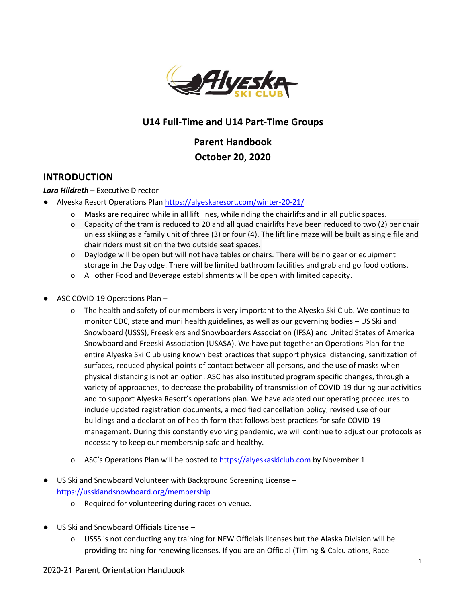

## **U14 Full-Time and U14 Part-Time Groups**

# **Parent Handbook October 20, 2020**

### **INTRODUCTION**

#### *Lara Hildreth* – Executive Director

- Alyeska Resort Operations Plan https://alyeskaresort.com/winter-20-21/
	- o Masks are required while in all lift lines, while riding the chairlifts and in all public spaces.
	- o Capacity of the tram is reduced to 20 and all quad chairlifts have been reduced to two (2) per chair unless skiing as a family unit of three (3) or four (4). The lift line maze will be built as single file and chair riders must sit on the two outside seat spaces.
	- o Daylodge will be open but will not have tables or chairs. There will be no gear or equipment storage in the Daylodge. There will be limited bathroom facilities and grab and go food options.
	- o All other Food and Beverage establishments will be open with limited capacity.
- ASC COVID-19 Operations Plan
	- o The health and safety of our members is very important to the Alyeska Ski Club. We continue to monitor CDC, state and muni health guidelines, as well as our governing bodies – US Ski and Snowboard (USSS), Freeskiers and Snowboarders Association (IFSA) and United States of America Snowboard and Freeski Association (USASA). We have put together an Operations Plan for the entire Alyeska Ski Club using known best practices that support physical distancing, sanitization of surfaces, reduced physical points of contact between all persons, and the use of masks when physical distancing is not an option. ASC has also instituted program specific changes, through a variety of approaches, to decrease the probability of transmission of COVID-19 during our activities and to support Alyeska Resort's operations plan. We have adapted our operating procedures to include updated registration documents, a modified cancellation policy, revised use of our buildings and a declaration of health form that follows best practices for safe COVID-19 management. During this constantly evolving pandemic, we will continue to adjust our protocols as necessary to keep our membership safe and healthy.
	- o ASC's Operations Plan will be posted to https://alyeskaskiclub.com by November 1.
- US Ski and Snowboard Volunteer with Background Screening License https://usskiandsnowboard.org/membership
	- o Required for volunteering during races on venue.
- US Ski and Snowboard Officials License
	- o USSS is not conducting any training for NEW Officials licenses but the Alaska Division will be providing training for renewing licenses. If you are an Official (Timing & Calculations, Race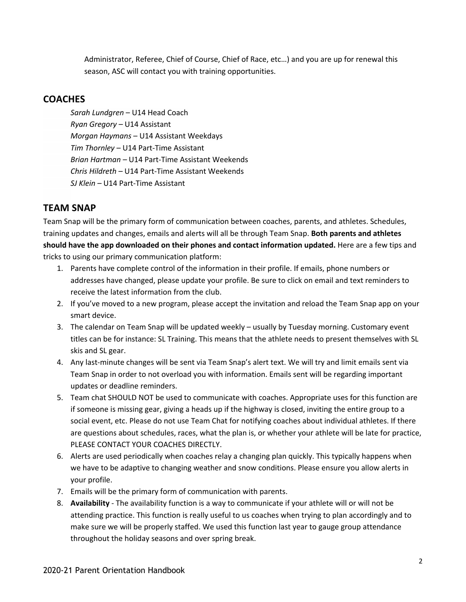Administrator, Referee, Chief of Course, Chief of Race, etc…) and you are up for renewal this season, ASC will contact you with training opportunities.

## **COACHES**

*Sarah Lundgren* – U14 Head Coach *Ryan Gregory –* U14 Assistant *Morgan Haymans* – U14 Assistant Weekdays *Tim Thornley* – U14 Part-Time Assistant *Brian Hartman –* U14 Part-Time Assistant Weekends *Chris Hildreth –* U14 Part-Time Assistant Weekends *SJ Klein –* U14 Part-Time Assistant

## **TEAM SNAP**

Team Snap will be the primary form of communication between coaches, parents, and athletes. Schedules, training updates and changes, emails and alerts will all be through Team Snap. **Both parents and athletes should have the app downloaded on their phones and contact information updated.** Here are a few tips and tricks to using our primary communication platform:

- 1. Parents have complete control of the information in their profile. If emails, phone numbers or addresses have changed, please update your profile. Be sure to click on email and text reminders to receive the latest information from the club.
- 2. If you've moved to a new program, please accept the invitation and reload the Team Snap app on your smart device.
- 3. The calendar on Team Snap will be updated weekly usually by Tuesday morning. Customary event titles can be for instance: SL Training. This means that the athlete needs to present themselves with SL skis and SL gear.
- 4. Any last-minute changes will be sent via Team Snap's alert text. We will try and limit emails sent via Team Snap in order to not overload you with information. Emails sent will be regarding important updates or deadline reminders.
- 5. Team chat SHOULD NOT be used to communicate with coaches. Appropriate uses for this function are if someone is missing gear, giving a heads up if the highway is closed, inviting the entire group to a social event, etc. Please do not use Team Chat for notifying coaches about individual athletes. If there are questions about schedules, races, what the plan is, or whether your athlete will be late for practice, PLEASE CONTACT YOUR COACHES DIRECTLY.
- 6. Alerts are used periodically when coaches relay a changing plan quickly. This typically happens when we have to be adaptive to changing weather and snow conditions. Please ensure you allow alerts in your profile.
- 7. Emails will be the primary form of communication with parents.
- 8. **Availability** The availability function is a way to communicate if your athlete will or will not be attending practice. This function is really useful to us coaches when trying to plan accordingly and to make sure we will be properly staffed. We used this function last year to gauge group attendance throughout the holiday seasons and over spring break.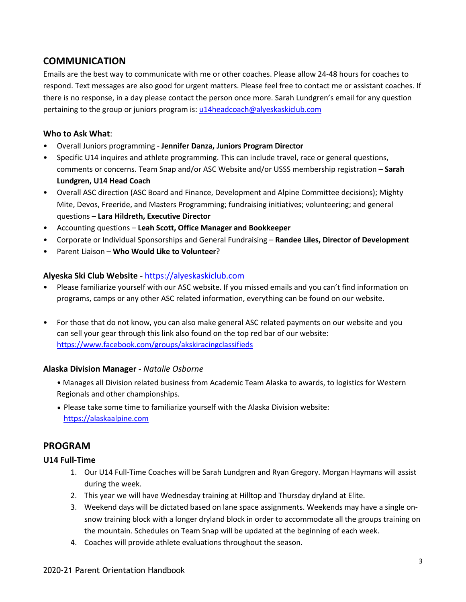## **COMMUNICATION**

Emails are the best way to communicate with me or other coaches. Please allow 24-48 hours for coaches to respond. Text messages are also good for urgent matters. Please feel free to contact me or assistant coaches. If there is no response, in a day please contact the person once more. Sarah Lundgren's email for any question pertaining to the group or juniors program is: u14headcoach@alyeskaskiclub.com

#### **Who to Ask What**:

- Overall Juniors programming **Jennifer Danza, Juniors Program Director**
- Specific U14 inquires and athlete programming. This can include travel, race or general questions, comments or concerns. Team Snap and/or ASC Website and/or USSS membership registration – **Sarah Lundgren, U14 Head Coach**
- Overall ASC direction (ASC Board and Finance, Development and Alpine Committee decisions); Mighty Mite, Devos, Freeride, and Masters Programming; fundraising initiatives; volunteering; and general questions – **Lara Hildreth, Executive Director**
- Accounting questions **Leah Scott, Office Manager and Bookkeeper**
- Corporate or Individual Sponsorships and General Fundraising **Randee Liles, Director of Development**
- Parent Liaison **Who Would Like to Volunteer**?

#### **Alyeska Ski Club Website** *-* https://alyeskaskiclub.com

- Please familiarize yourself with our ASC website. If you missed emails and you can't find information on programs, camps or any other ASC related information, everything can be found on our website.
- For those that do not know, you can also make general ASC related payments on our website and you can sell your gear through this link also found on the top red bar of our website: https://www.facebook.com/groups/akskiracingclassifieds

#### **Alaska Division Manager -** *Natalie Osborne*

- Manages all Division related business from Academic Team Alaska to awards, to logistics for Western Regionals and other championships.
- Please take some time to familiarize yourself with the Alaska Division website: https://alaskaalpine.com

### **PROGRAM**

#### **U14 Full-Time**

- 1. Our U14 Full-Time Coaches will be Sarah Lundgren and Ryan Gregory. Morgan Haymans will assist during the week.
- 2. This year we will have Wednesday training at Hilltop and Thursday dryland at Elite.
- 3. Weekend days will be dictated based on lane space assignments. Weekends may have a single onsnow training block with a longer dryland block in order to accommodate all the groups training on the mountain. Schedules on Team Snap will be updated at the beginning of each week.
- 4. Coaches will provide athlete evaluations throughout the season.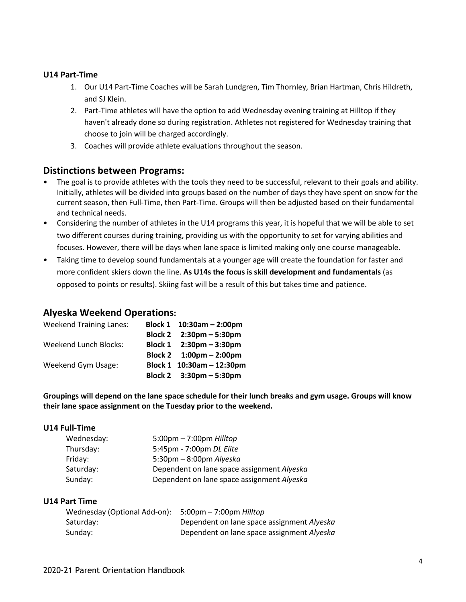#### **U14 Part-Time**

- 1. Our U14 Part-Time Coaches will be Sarah Lundgren, Tim Thornley, Brian Hartman, Chris Hildreth, and SJ Klein.
- 2. Part-Time athletes will have the option to add Wednesday evening training at Hilltop if they haven't already done so during registration. Athletes not registered for Wednesday training that choose to join will be charged accordingly.
- 3. Coaches will provide athlete evaluations throughout the season.

### **Distinctions between Programs:**

- The goal is to provide athletes with the tools they need to be successful, relevant to their goals and ability. Initially, athletes will be divided into groups based on the number of days they have spent on snow for the current season, then Full-Time, then Part-Time. Groups will then be adjusted based on their fundamental and technical needs.
- Considering the number of athletes in the U14 programs this year, it is hopeful that we will be able to set two different courses during training, providing us with the opportunity to set for varying abilities and focuses. However, there will be days when lane space is limited making only one course manageable.
- Taking time to develop sound fundamentals at a younger age will create the foundation for faster and more confident skiers down the line. **As U14s the focus is skill development and fundamentals** (as opposed to points or results). Skiing fast will be a result of this but takes time and patience.

#### **Alyeska Weekend Operations:**

| <b>Weekend Training Lanes:</b> | Block 1 10:30am - 2:00pm                  |
|--------------------------------|-------------------------------------------|
|                                | Block 2 2:30pm - 5:30pm                   |
| <b>Weekend Lunch Blocks:</b>   | Block 1 $2:30 \text{pm} - 3:30 \text{pm}$ |
|                                | Block 2 $1:00 \text{pm} - 2:00 \text{pm}$ |
| Weekend Gym Usage:             | Block 1 10:30am - 12:30pm                 |
|                                | Block 2 $3:30 \text{pm} - 5:30 \text{pm}$ |

Groupings will depend on the lane space schedule for their lunch breaks and gym usage. Groups will know **their lane space assignment on the Tuesday prior to the weekend.**

#### **U14 Full-Time**

| Wednesday: | $5:00 \text{pm} - 7:00 \text{pm}$ Hilltop  |
|------------|--------------------------------------------|
| Thursday:  | 5:45pm - 7:00pm DL Elite                   |
| Friday:    | $5:30 \text{pm} - 8:00 \text{pm}$ Alyeska  |
| Saturday:  | Dependent on lane space assignment Alyeska |
| Sunday:    | Dependent on lane space assignment Alyeska |

#### **U14 Part Time**

| Wednesday (Optional Add-on): | 5:00pm – 7:00pm <i>Hilltop</i>             |
|------------------------------|--------------------------------------------|
| Saturday:                    | Dependent on lane space assignment Alyeska |
| Sunday:                      | Dependent on lane space assignment Alyeska |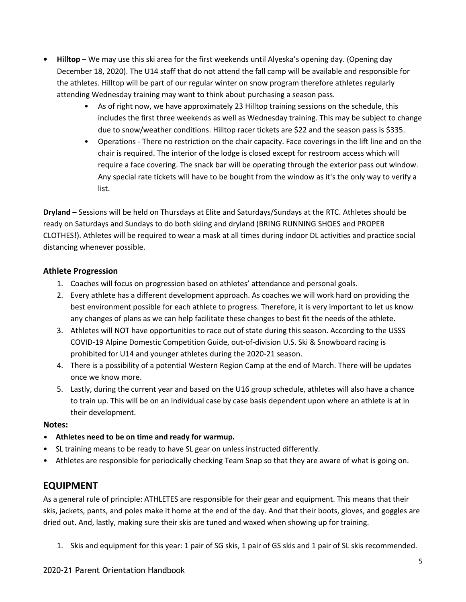- **• Hilltop** We may use this ski area for the first weekends until Alyeska's opening day. (Opening day December 18, 2020). The U14 staff that do not attend the fall camp will be available and responsible for the athletes. Hilltop will be part of our regular winter on snow program therefore athletes regularly attending Wednesday training may want to think about purchasing a season pass.
	- As of right now, we have approximately 23 Hilltop training sessions on the schedule, this includes the first three weekends as well as Wednesday training. This may be subject to change due to snow/weather conditions. Hilltop racer tickets are \$22 and the season pass is \$335.
	- Operations There no restriction on the chair capacity. Face coverings in the lift line and on the chair is required. The interior of the lodge is closed except for restroom access which will require a face covering. The snack bar will be operating through the exterior pass out window. Any special rate tickets will have to be bought from the window as it's the only way to verify a list.

**Dryland** – Sessions will be held on Thursdays at Elite and Saturdays/Sundays at the RTC. Athletes should be ready on Saturdays and Sundays to do both skiing and dryland (BRING RUNNING SHOES and PROPER CLOTHES!). Athletes will be required to wear a mask at all times during indoor DL activities and practice social distancing whenever possible.

### **Athlete Progression**

- 1. Coaches will focus on progression based on athletes' attendance and personal goals.
- 2. Every athlete has a different development approach. As coaches we will work hard on providing the best environment possible for each athlete to progress. Therefore, it is very important to let us know any changes of plans as we can help facilitate these changes to best fit the needs of the athlete.
- 3. Athletes will NOT have opportunities to race out of state during this season. According to the USSS COVID-19 Alpine Domestic Competition Guide, out-of-division U.S. Ski & Snowboard racing is prohibited for U14 and younger athletes during the 2020-21 season.
- 4. There is a possibility of a potential Western Region Camp at the end of March. There will be updates once we know more.
- 5. Lastly, during the current year and based on the U16 group schedule, athletes will also have a chance to train up. This will be on an individual case by case basis dependent upon where an athlete is at in their development.

#### **Notes:**

- **• Athletes need to be on time and ready for warmup.**
- SL training means to be ready to have SL gear on unless instructed differently.
- Athletes are responsible for periodically checking Team Snap so that they are aware of what is going on.

## **EQUIPMENT**

As a general rule of principle: ATHLETES are responsible for their gear and equipment. This means that their skis, jackets, pants, and poles make it home at the end of the day. And that their boots, gloves, and goggles are dried out. And, lastly, making sure their skis are tuned and waxed when showing up for training.

1. Skis and equipment for this year: 1 pair of SG skis, 1 pair of GS skis and 1 pair of SL skis recommended.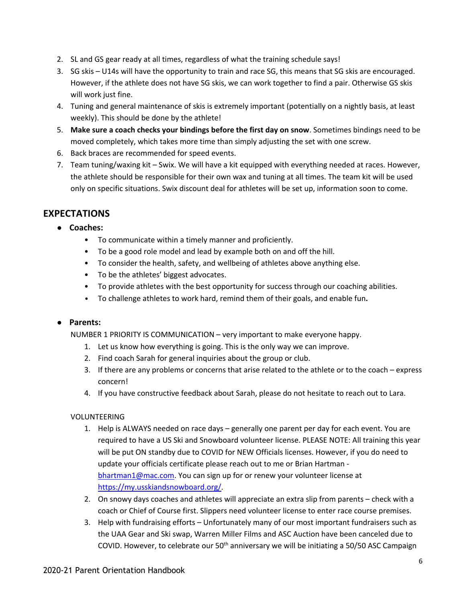- 2. SL and GS gear ready at all times, regardless of what the training schedule says!
- 3. SG skis U14s will have the opportunity to train and race SG, this means that SG skis are encouraged. However, if the athlete does not have SG skis, we can work together to find a pair. Otherwise GS skis will work just fine.
- 4. Tuning and general maintenance of skis is extremely important (potentially on a nightly basis, at least weekly). This should be done by the athlete!
- 5. **Make sure a coach checks your bindings before the first day on snow**. Sometimes bindings need to be moved completely, which takes more time than simply adjusting the set with one screw.
- 6. Back braces are recommended for speed events.
- 7. Team tuning/waxing kit Swix. We will have a kit equipped with everything needed at races. However, the athlete should be responsible for their own wax and tuning at all times. The team kit will be used only on specific situations. Swix discount deal for athletes will be set up, information soon to come.

## **EXPECTATIONS**

- **● Coaches:**
	- To communicate within a timely manner and proficiently.
	- To be a good role model and lead by example both on and off the hill.
	- To consider the health, safety, and wellbeing of athletes above anything else.
	- To be the athletes' biggest advocates.
	- To provide athletes with the best opportunity for success through our coaching abilities.
	- To challenge athletes to work hard, remind them of their goals, and enable fun**.**

#### **● Parents:**

NUMBER 1 PRIORITY IS COMMUNICATION – very important to make everyone happy.

- 1. Let us know how everything is going. This is the only way we can improve.
- 2. Find coach Sarah for general inquiries about the group or club.
- 3. If there are any problems or concerns that arise related to the athlete or to the coach express concern!
- 4. If you have constructive feedback about Sarah, please do not hesitate to reach out to Lara.

#### VOLUNTEERING

- 1. Help is ALWAYS needed on race days generally one parent per day for each event. You are required to have a US Ski and Snowboard volunteer license. PLEASE NOTE: All training this year will be put ON standby due to COVID for NEW Officials licenses. However, if you do need to update your officials certificate please reach out to me or Brian Hartman bhartman1@mac.com. You can sign up for or renew your volunteer license at https://my.usskiandsnowboard.org/.
- 2. On snowy days coaches and athletes will appreciate an extra slip from parents check with a coach or Chief of Course first. Slippers need volunteer license to enter race course premises.
- 3. Help with fundraising efforts Unfortunately many of our most important fundraisers such as the UAA Gear and Ski swap, Warren Miller Films and ASC Auction have been canceled due to COVID. However, to celebrate our  $50<sup>th</sup>$  anniversary we will be initiating a  $50/50$  ASC Campaign